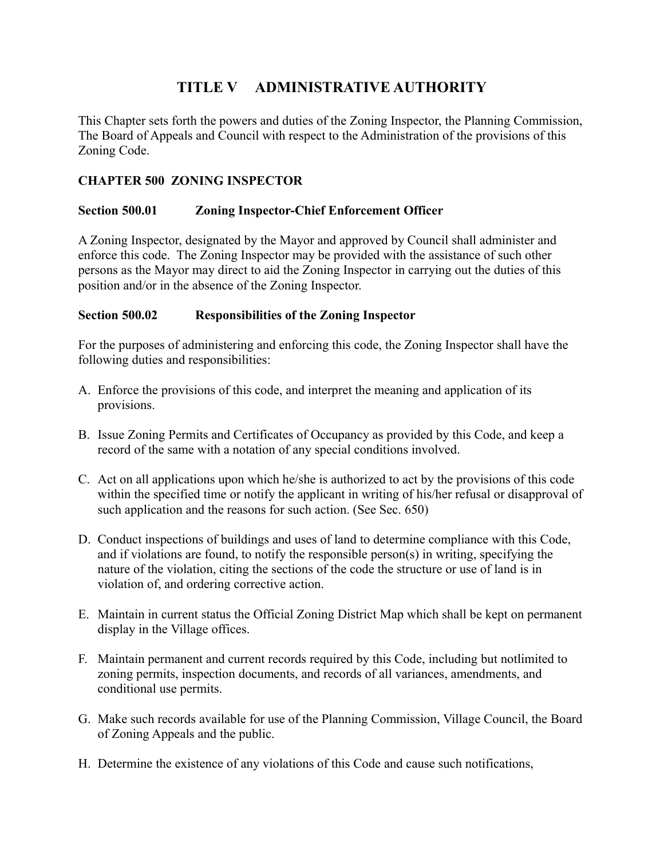# **TITLE V ADMINISTRATIVE AUTHORITY**

This Chapter sets forth the powers and duties of the Zoning Inspector, the Planning Commission, The Board of Appeals and Council with respect to the Administration of the provisions of this Zoning Code.

### **CHAPTER 500 ZONING INSPECTOR**

### **Section 500.01 Zoning Inspector-Chief Enforcement Officer**

A Zoning Inspector, designated by the Mayor and approved by Council shall administer and enforce this code. The Zoning Inspector may be provided with the assistance of such other persons as the Mayor may direct to aid the Zoning Inspector in carrying out the duties of this position and/or in the absence of the Zoning Inspector.

### **Section 500.02 Responsibilities of the Zoning Inspector**

For the purposes of administering and enforcing this code, the Zoning Inspector shall have the following duties and responsibilities:

- A. Enforce the provisions of this code, and interpret the meaning and application of its provisions.
- B. Issue Zoning Permits and Certificates of Occupancy as provided by this Code, and keep a record of the same with a notation of any special conditions involved.
- C. Act on all applications upon which he/she is authorized to act by the provisions of this code within the specified time or notify the applicant in writing of his/her refusal or disapproval of such application and the reasons for such action. (See Sec. 650)
- D. Conduct inspections of buildings and uses of land to determine compliance with this Code, and if violations are found, to notify the responsible person(s) in writing, specifying the nature of the violation, citing the sections of the code the structure or use of land is in violation of, and ordering corrective action.
- E. Maintain in current status the Official Zoning District Map which shall be kept on permanent display in the Village offices.
- F. Maintain permanent and current records required by this Code, including but notlimited to zoning permits, inspection documents, and records of all variances, amendments, and conditional use permits.
- G. Make such records available for use of the Planning Commission, Village Council, the Board of Zoning Appeals and the public.
- H. Determine the existence of any violations of this Code and cause such notifications,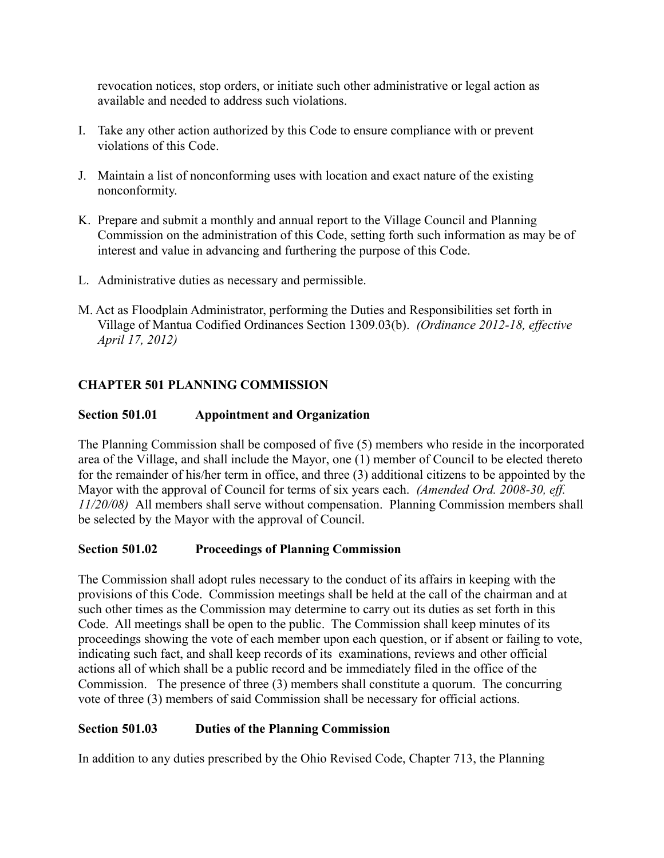revocation notices, stop orders, or initiate such other administrative or legal action as available and needed to address such violations.

- I. Take any other action authorized by this Code to ensure compliance with or prevent violations of this Code.
- J. Maintain a list of nonconforming uses with location and exact nature of the existing nonconformity.
- K. Prepare and submit a monthly and annual report to the Village Council and Planning Commission on the administration of this Code, setting forth such information as may be of interest and value in advancing and furthering the purpose of this Code.
- L. Administrative duties as necessary and permissible.
- M. Act as Floodplain Administrator, performing the Duties and Responsibilities set forth in Village of Mantua Codified Ordinances Section 1309.03(b). *(Ordinance 2012-18, effective April 17, 2012)*

### **CHAPTER 501 PLANNING COMMISSION**

### **Section 501.01 Appointment and Organization**

The Planning Commission shall be composed of five (5) members who reside in the incorporated area of the Village, and shall include the Mayor, one (1) member of Council to be elected thereto for the remainder of his/her term in office, and three (3) additional citizens to be appointed by the Mayor with the approval of Council for terms of six years each. *(Amended Ord. 2008-30, eff. 11/20/08)* All members shall serve without compensation. Planning Commission members shall be selected by the Mayor with the approval of Council.

#### **Section 501.02 Proceedings of Planning Commission**

The Commission shall adopt rules necessary to the conduct of its affairs in keeping with the provisions of this Code. Commission meetings shall be held at the call of the chairman and at such other times as the Commission may determine to carry out its duties as set forth in this Code. All meetings shall be open to the public. The Commission shall keep minutes of its proceedings showing the vote of each member upon each question, or if absent or failing to vote, indicating such fact, and shall keep records of its examinations, reviews and other official actions all of which shall be a public record and be immediately filed in the office of the Commission. The presence of three (3) members shall constitute a quorum. The concurring vote of three (3) members of said Commission shall be necessary for official actions.

#### **Section 501.03 Duties of the Planning Commission**

In addition to any duties prescribed by the Ohio Revised Code, Chapter 713, the Planning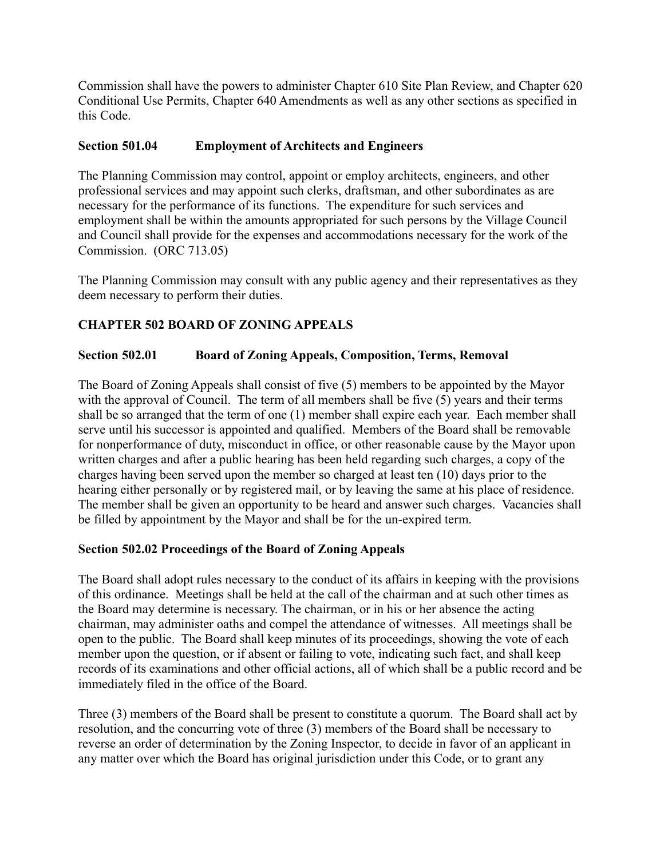Commission shall have the powers to administer Chapter 610 Site Plan Review, and Chapter 620 Conditional Use Permits, Chapter 640 Amendments as well as any other sections as specified in this Code.

### **Section 501.04 Employment of Architects and Engineers**

The Planning Commission may control, appoint or employ architects, engineers, and other professional services and may appoint such clerks, draftsman, and other subordinates as are necessary for the performance of its functions. The expenditure for such services and employment shall be within the amounts appropriated for such persons by the Village Council and Council shall provide for the expenses and accommodations necessary for the work of the Commission. (ORC 713.05)

The Planning Commission may consult with any public agency and their representatives as they deem necessary to perform their duties.

# **CHAPTER 502 BOARD OF ZONING APPEALS**

### **Section 502.01 Board of Zoning Appeals, Composition, Terms, Removal**

The Board of Zoning Appeals shall consist of five (5) members to be appointed by the Mayor with the approval of Council. The term of all members shall be five (5) years and their terms shall be so arranged that the term of one (1) member shall expire each year. Each member shall serve until his successor is appointed and qualified. Members of the Board shall be removable for nonperformance of duty, misconduct in office, or other reasonable cause by the Mayor upon written charges and after a public hearing has been held regarding such charges, a copy of the charges having been served upon the member so charged at least ten (10) days prior to the hearing either personally or by registered mail, or by leaving the same at his place of residence. The member shall be given an opportunity to be heard and answer such charges. Vacancies shall be filled by appointment by the Mayor and shall be for the un-expired term.

### **Section 502.02 Proceedings of the Board of Zoning Appeals**

The Board shall adopt rules necessary to the conduct of its affairs in keeping with the provisions of this ordinance. Meetings shall be held at the call of the chairman and at such other times as the Board may determine is necessary. The chairman, or in his or her absence the acting chairman, may administer oaths and compel the attendance of witnesses. All meetings shall be open to the public. The Board shall keep minutes of its proceedings, showing the vote of each member upon the question, or if absent or failing to vote, indicating such fact, and shall keep records of its examinations and other official actions, all of which shall be a public record and be immediately filed in the office of the Board.

Three (3) members of the Board shall be present to constitute a quorum. The Board shall act by resolution, and the concurring vote of three (3) members of the Board shall be necessary to reverse an order of determination by the Zoning Inspector, to decide in favor of an applicant in any matter over which the Board has original jurisdiction under this Code, or to grant any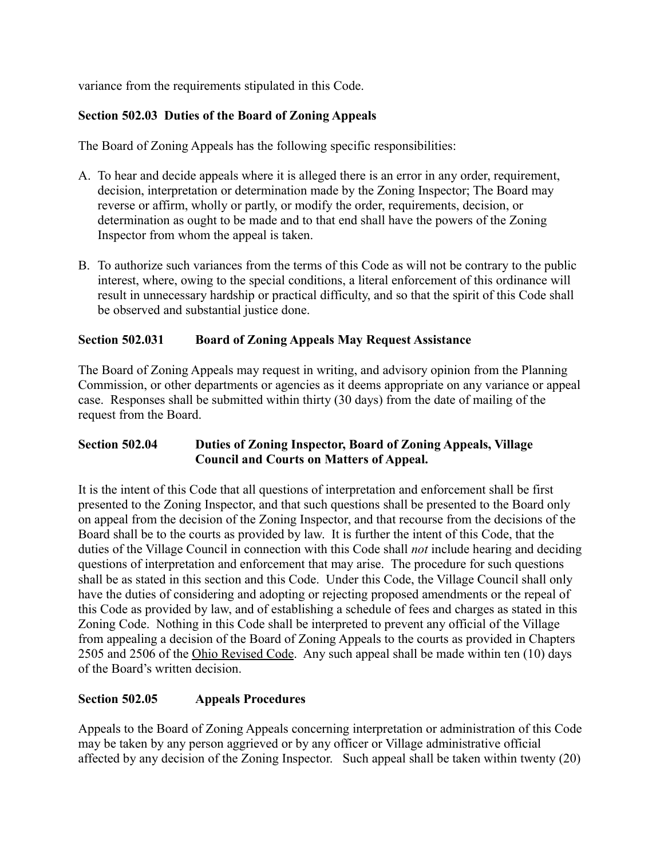variance from the requirements stipulated in this Code.

### **Section 502.03 Duties of the Board of Zoning Appeals**

The Board of Zoning Appeals has the following specific responsibilities:

- A. To hear and decide appeals where it is alleged there is an error in any order, requirement, decision, interpretation or determination made by the Zoning Inspector; The Board may reverse or affirm, wholly or partly, or modify the order, requirements, decision, or determination as ought to be made and to that end shall have the powers of the Zoning Inspector from whom the appeal is taken.
- B. To authorize such variances from the terms of this Code as will not be contrary to the public interest, where, owing to the special conditions, a literal enforcement of this ordinance will result in unnecessary hardship or practical difficulty, and so that the spirit of this Code shall be observed and substantial justice done.

### **Section 502.031 Board of Zoning Appeals May Request Assistance**

The Board of Zoning Appeals may request in writing, and advisory opinion from the Planning Commission, or other departments or agencies as it deems appropriate on any variance or appeal case. Responses shall be submitted within thirty (30 days) from the date of mailing of the request from the Board.

### **Section 502.04 Duties of Zoning Inspector, Board of Zoning Appeals, Village Council and Courts on Matters of Appeal.**

It is the intent of this Code that all questions of interpretation and enforcement shall be first presented to the Zoning Inspector, and that such questions shall be presented to the Board only on appeal from the decision of the Zoning Inspector, and that recourse from the decisions of the Board shall be to the courts as provided by law. It is further the intent of this Code, that the duties of the Village Council in connection with this Code shall *not* include hearing and deciding questions of interpretation and enforcement that may arise. The procedure for such questions shall be as stated in this section and this Code. Under this Code, the Village Council shall only have the duties of considering and adopting or rejecting proposed amendments or the repeal of this Code as provided by law, and of establishing a schedule of fees and charges as stated in this Zoning Code. Nothing in this Code shall be interpreted to prevent any official of the Village from appealing a decision of the Board of Zoning Appeals to the courts as provided in Chapters 2505 and 2506 of the Ohio Revised Code. Any such appeal shall be made within ten (10) days of the Board's written decision.

# **Section 502.05 Appeals Procedures**

Appeals to the Board of Zoning Appeals concerning interpretation or administration of this Code may be taken by any person aggrieved or by any officer or Village administrative official affected by any decision of the Zoning Inspector. Such appeal shall be taken within twenty (20)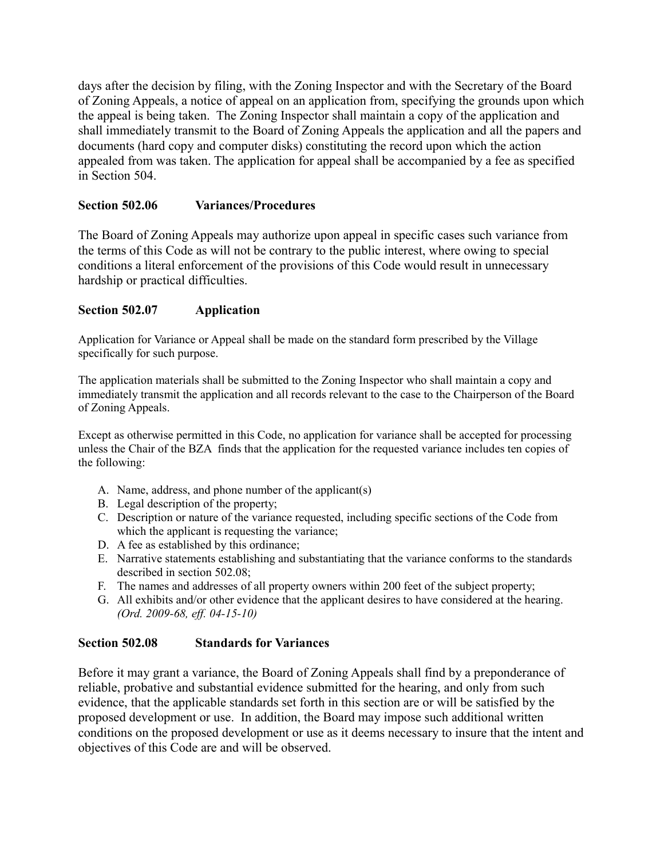days after the decision by filing, with the Zoning Inspector and with the Secretary of the Board of Zoning Appeals, a notice of appeal on an application from, specifying the grounds upon which the appeal is being taken. The Zoning Inspector shall maintain a copy of the application and shall immediately transmit to the Board of Zoning Appeals the application and all the papers and documents (hard copy and computer disks) constituting the record upon which the action appealed from was taken. The application for appeal shall be accompanied by a fee as specified in Section 504.

### **Section 502.06 Variances/Procedures**

The Board of Zoning Appeals may authorize upon appeal in specific cases such variance from the terms of this Code as will not be contrary to the public interest, where owing to special conditions a literal enforcement of the provisions of this Code would result in unnecessary hardship or practical difficulties.

### **Section 502.07 Application**

Application for Variance or Appeal shall be made on the standard form prescribed by the Village specifically for such purpose.

The application materials shall be submitted to the Zoning Inspector who shall maintain a copy and immediately transmit the application and all records relevant to the case to the Chairperson of the Board of Zoning Appeals.

Except as otherwise permitted in this Code, no application for variance shall be accepted for processing unless the Chair of the BZA finds that the application for the requested variance includes ten copies of the following:

- A. Name, address, and phone number of the applicant(s)
- B. Legal description of the property;
- C. Description or nature of the variance requested, including specific sections of the Code from which the applicant is requesting the variance;
- D. A fee as established by this ordinance;
- E. Narrative statements establishing and substantiating that the variance conforms to the standards described in section 502.08;
- F. The names and addresses of all property owners within 200 feet of the subject property;
- G. All exhibits and/or other evidence that the applicant desires to have considered at the hearing. *(Ord. 2009-68, eff. 04-15-10)*

### **Section 502.08 Standards for Variances**

Before it may grant a variance, the Board of Zoning Appeals shall find by a preponderance of reliable, probative and substantial evidence submitted for the hearing, and only from such evidence, that the applicable standards set forth in this section are or will be satisfied by the proposed development or use. In addition, the Board may impose such additional written conditions on the proposed development or use as it deems necessary to insure that the intent and objectives of this Code are and will be observed.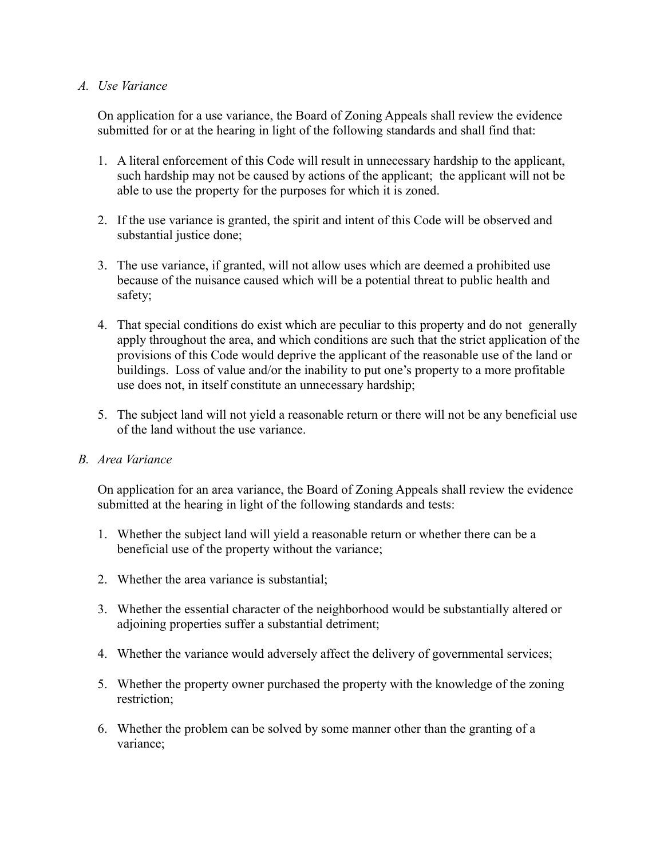#### *A. Use Variance*

On application for a use variance, the Board of Zoning Appeals shall review the evidence submitted for or at the hearing in light of the following standards and shall find that:

- 1. A literal enforcement of this Code will result in unnecessary hardship to the applicant, such hardship may not be caused by actions of the applicant; the applicant will not be able to use the property for the purposes for which it is zoned.
- 2. If the use variance is granted, the spirit and intent of this Code will be observed and substantial justice done;
- 3. The use variance, if granted, will not allow uses which are deemed a prohibited use because of the nuisance caused which will be a potential threat to public health and safety;
- 4. That special conditions do exist which are peculiar to this property and do not generally apply throughout the area, and which conditions are such that the strict application of the provisions of this Code would deprive the applicant of the reasonable use of the land or buildings. Loss of value and/or the inability to put one's property to a more profitable use does not, in itself constitute an unnecessary hardship;
- 5. The subject land will not yield a reasonable return or there will not be any beneficial use of the land without the use variance.

### *B. Area Variance*

On application for an area variance, the Board of Zoning Appeals shall review the evidence submitted at the hearing in light of the following standards and tests:

- 1. Whether the subject land will yield a reasonable return or whether there can be a beneficial use of the property without the variance;
- 2. Whether the area variance is substantial;
- 3. Whether the essential character of the neighborhood would be substantially altered or adjoining properties suffer a substantial detriment;
- 4. Whether the variance would adversely affect the delivery of governmental services;
- 5. Whether the property owner purchased the property with the knowledge of the zoning restriction;
- 6. Whether the problem can be solved by some manner other than the granting of a variance;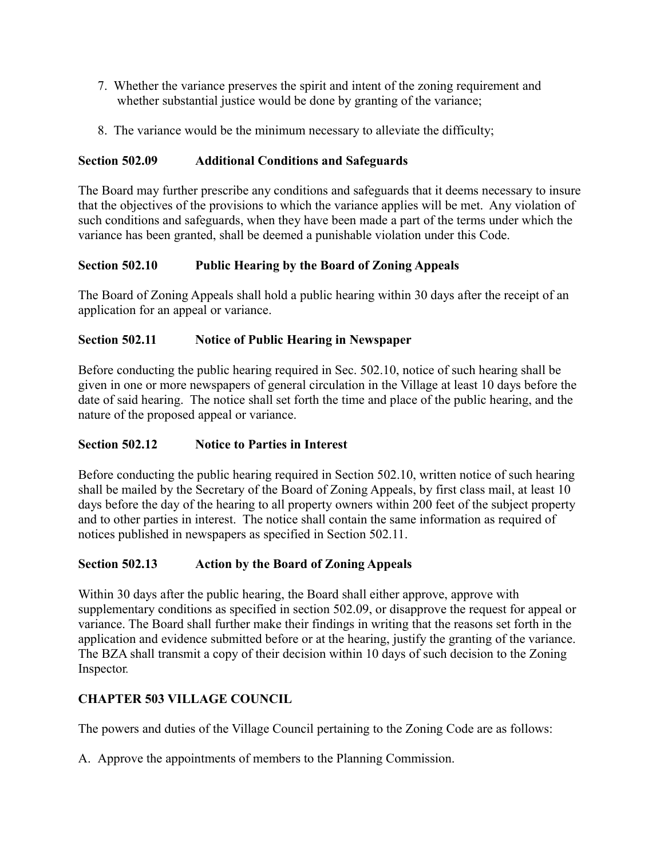- 7. Whether the variance preserves the spirit and intent of the zoning requirement and whether substantial justice would be done by granting of the variance;
- 8. The variance would be the minimum necessary to alleviate the difficulty;

### **Section 502.09 Additional Conditions and Safeguards**

The Board may further prescribe any conditions and safeguards that it deems necessary to insure that the objectives of the provisions to which the variance applies will be met. Any violation of such conditions and safeguards, when they have been made a part of the terms under which the variance has been granted, shall be deemed a punishable violation under this Code.

### **Section 502.10 Public Hearing by the Board of Zoning Appeals**

The Board of Zoning Appeals shall hold a public hearing within 30 days after the receipt of an application for an appeal or variance.

### **Section 502.11 Notice of Public Hearing in Newspaper**

Before conducting the public hearing required in Sec. 502.10, notice of such hearing shall be given in one or more newspapers of general circulation in the Village at least 10 days before the date of said hearing. The notice shall set forth the time and place of the public hearing, and the nature of the proposed appeal or variance.

# **Section 502.12 Notice to Parties in Interest**

Before conducting the public hearing required in Section 502.10, written notice of such hearing shall be mailed by the Secretary of the Board of Zoning Appeals, by first class mail, at least 10 days before the day of the hearing to all property owners within 200 feet of the subject property and to other parties in interest. The notice shall contain the same information as required of notices published in newspapers as specified in Section 502.11.

### **Section 502.13 Action by the Board of Zoning Appeals**

Within 30 days after the public hearing, the Board shall either approve, approve with supplementary conditions as specified in section 502.09, or disapprove the request for appeal or variance. The Board shall further make their findings in writing that the reasons set forth in the application and evidence submitted before or at the hearing, justify the granting of the variance. The BZA shall transmit a copy of their decision within 10 days of such decision to the Zoning Inspector*.*

# **CHAPTER 503 VILLAGE COUNCIL**

The powers and duties of the Village Council pertaining to the Zoning Code are as follows:

A. Approve the appointments of members to the Planning Commission.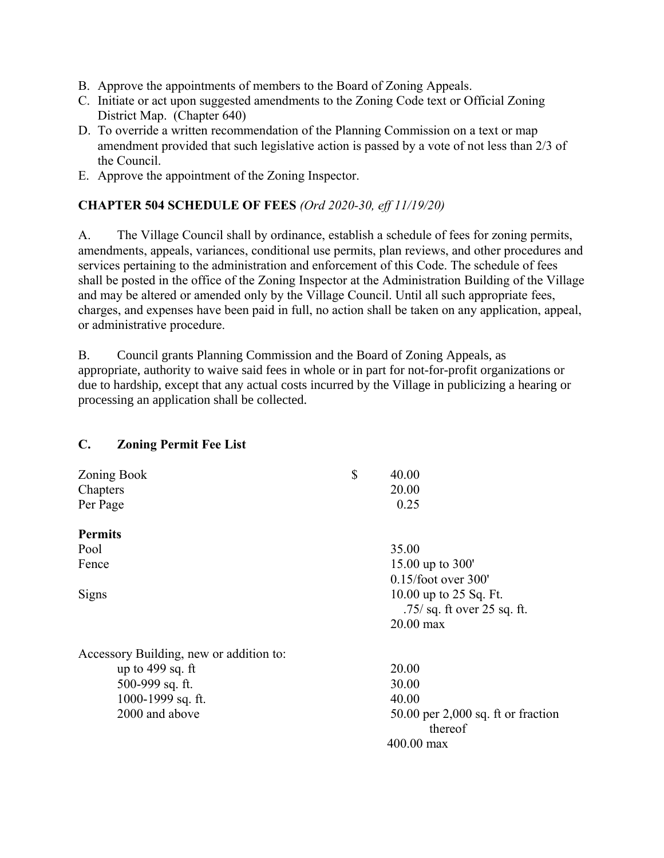- B. Approve the appointments of members to the Board of Zoning Appeals.
- C. Initiate or act upon suggested amendments to the Zoning Code text or Official Zoning District Map. (Chapter 640)
- D. To override a written recommendation of the Planning Commission on a text or map amendment provided that such legislative action is passed by a vote of not less than 2/3 of the Council.
- E. Approve the appointment of the Zoning Inspector.

### **CHAPTER 504 SCHEDULE OF FEES** *(Ord 2020-30, eff 11/19/20)*

A. The Village Council shall by ordinance, establish a schedule of fees for zoning permits, amendments, appeals, variances, conditional use permits, plan reviews, and other procedures and services pertaining to the administration and enforcement of this Code. The schedule of fees shall be posted in the office of the Zoning Inspector at the Administration Building of the Village and may be altered or amended only by the Village Council. Until all such appropriate fees, charges, and expenses have been paid in full, no action shall be taken on any application, appeal, or administrative procedure.

B. Council grants Planning Commission and the Board of Zoning Appeals, as appropriate, authority to waive said fees in whole or in part for not-for-profit organizations or due to hardship, except that any actual costs incurred by the Village in publicizing a hearing or processing an application shall be collected.

### **C. Zoning Permit Fee List**

| Zoning Book                             | \$<br>40.00                                             |
|-----------------------------------------|---------------------------------------------------------|
| Chapters                                | 20.00                                                   |
| Per Page                                | 0.25                                                    |
| <b>Permits</b>                          |                                                         |
| Pool                                    | 35.00                                                   |
| Fence                                   | 15.00 up to 300'                                        |
|                                         | $0.15$ /foot over 300'                                  |
| Signs                                   | 10.00 up to 25 Sq. Ft.<br>$.75/$ sq. ft over 25 sq. ft. |
|                                         | $20.00$ max                                             |
| Accessory Building, new or addition to: |                                                         |
| up to $499$ sq. ft                      | 20.00                                                   |
| 500-999 sq. ft.                         | 30.00                                                   |
| 1000-1999 sq. ft.                       | 40.00                                                   |
| 2000 and above                          | $50.00$ per 2,000 sq. ft or fraction<br>thereof         |
|                                         | 400.00 max                                              |